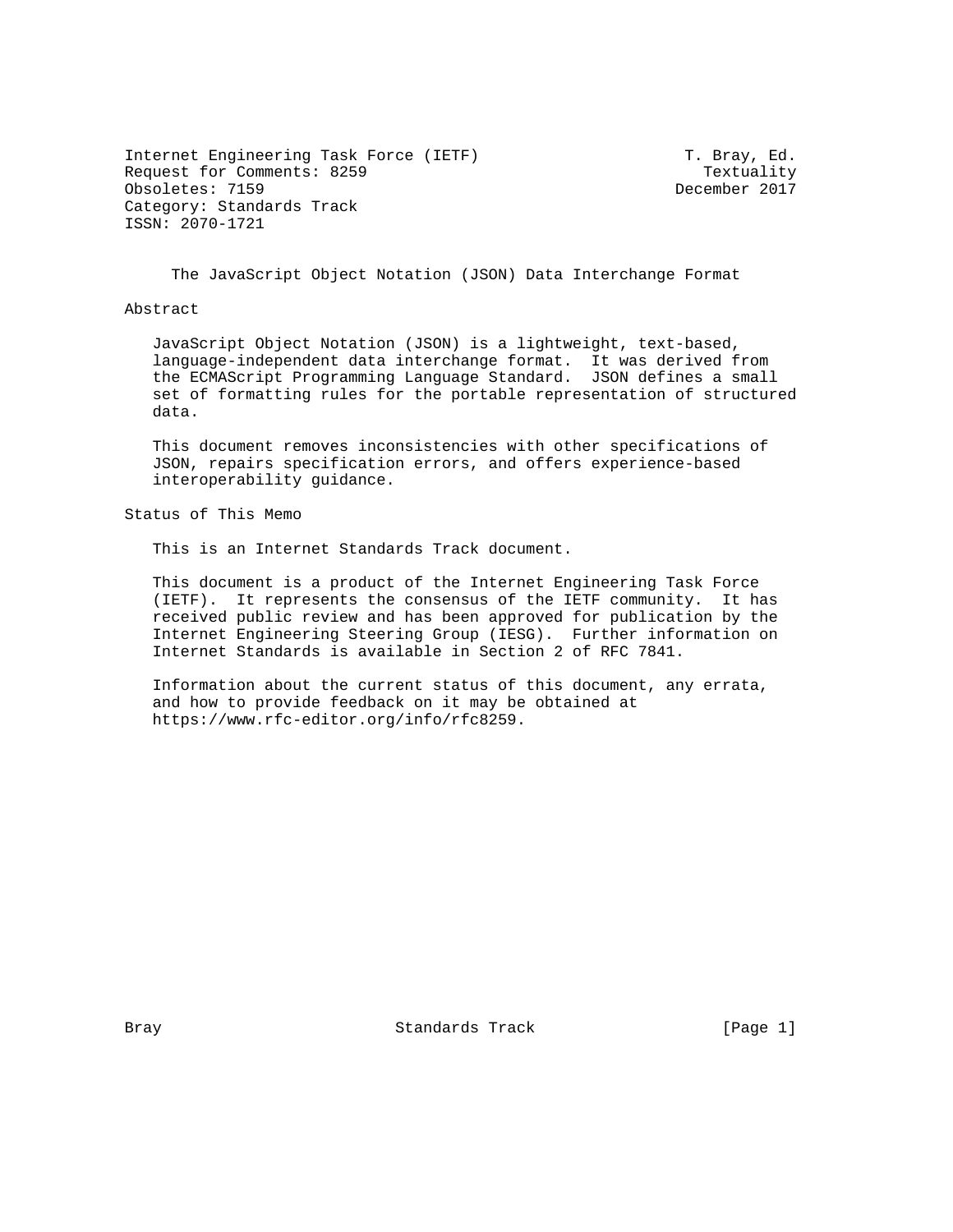Internet Engineering Task Force (IETF) T. Bray, Ed. Request for Comments: 8259 Textuality<br>
Obsoletes: 7159 December 2017 Obsoletes: 7159 Category: Standards Track ISSN: 2070-1721

The JavaScript Object Notation (JSON) Data Interchange Format

Abstract

 JavaScript Object Notation (JSON) is a lightweight, text-based, language-independent data interchange format. It was derived from the ECMAScript Programming Language Standard. JSON defines a small set of formatting rules for the portable representation of structured data.

 This document removes inconsistencies with other specifications of JSON, repairs specification errors, and offers experience-based interoperability guidance.

Status of This Memo

This is an Internet Standards Track document.

 This document is a product of the Internet Engineering Task Force (IETF). It represents the consensus of the IETF community. It has received public review and has been approved for publication by the Internet Engineering Steering Group (IESG). Further information on Internet Standards is available in Section 2 of RFC 7841.

 Information about the current status of this document, any errata, and how to provide feedback on it may be obtained at https://www.rfc-editor.org/info/rfc8259.

Bray **Standards Track** [Page 1]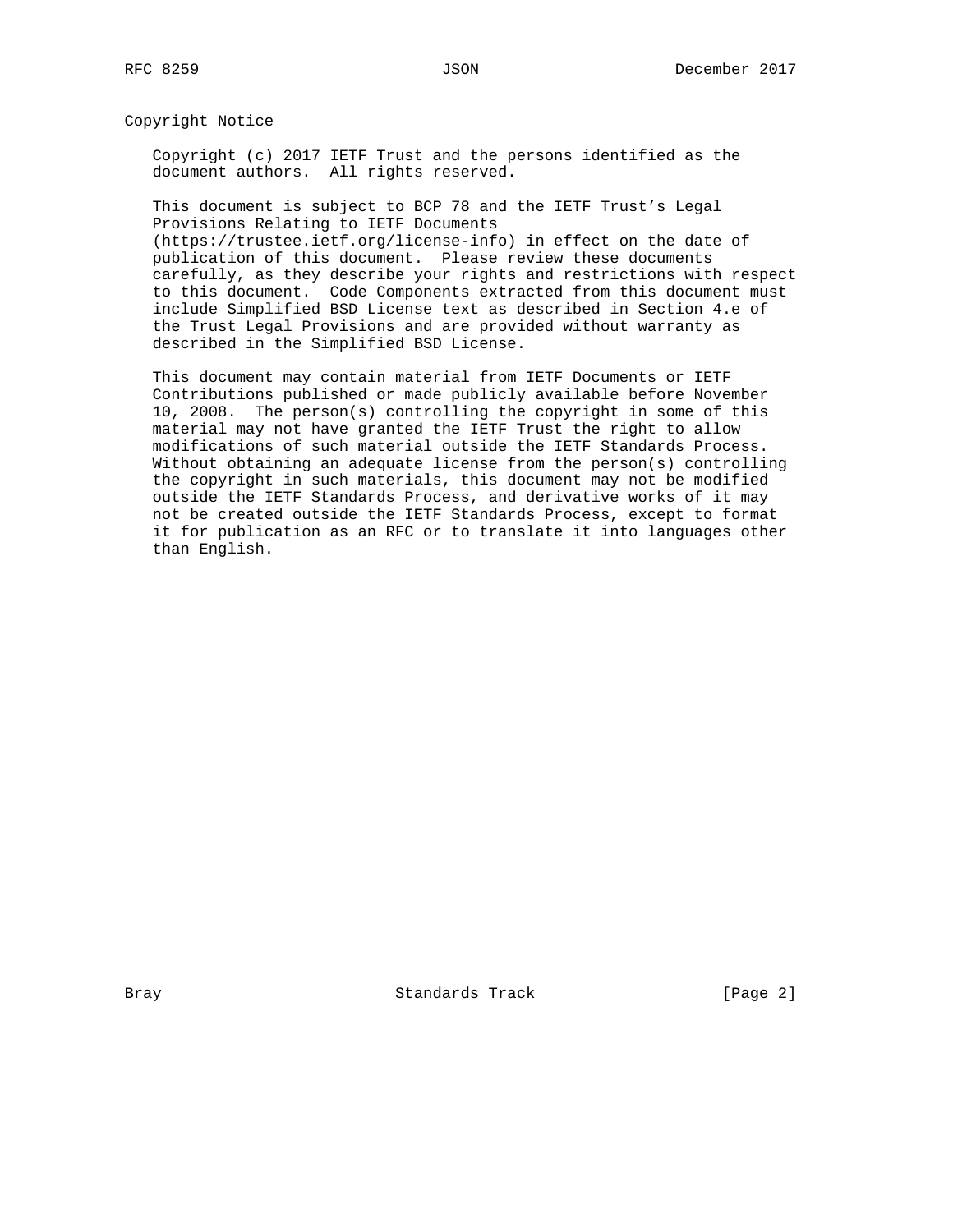Copyright Notice

 Copyright (c) 2017 IETF Trust and the persons identified as the document authors. All rights reserved.

 This document is subject to BCP 78 and the IETF Trust's Legal Provisions Relating to IETF Documents

 (https://trustee.ietf.org/license-info) in effect on the date of publication of this document. Please review these documents carefully, as they describe your rights and restrictions with respect to this document. Code Components extracted from this document must include Simplified BSD License text as described in Section 4.e of the Trust Legal Provisions and are provided without warranty as described in the Simplified BSD License.

 This document may contain material from IETF Documents or IETF Contributions published or made publicly available before November 10, 2008. The person(s) controlling the copyright in some of this material may not have granted the IETF Trust the right to allow modifications of such material outside the IETF Standards Process. Without obtaining an adequate license from the person(s) controlling the copyright in such materials, this document may not be modified outside the IETF Standards Process, and derivative works of it may not be created outside the IETF Standards Process, except to format it for publication as an RFC or to translate it into languages other than English.

Bray Standards Track [Page 2]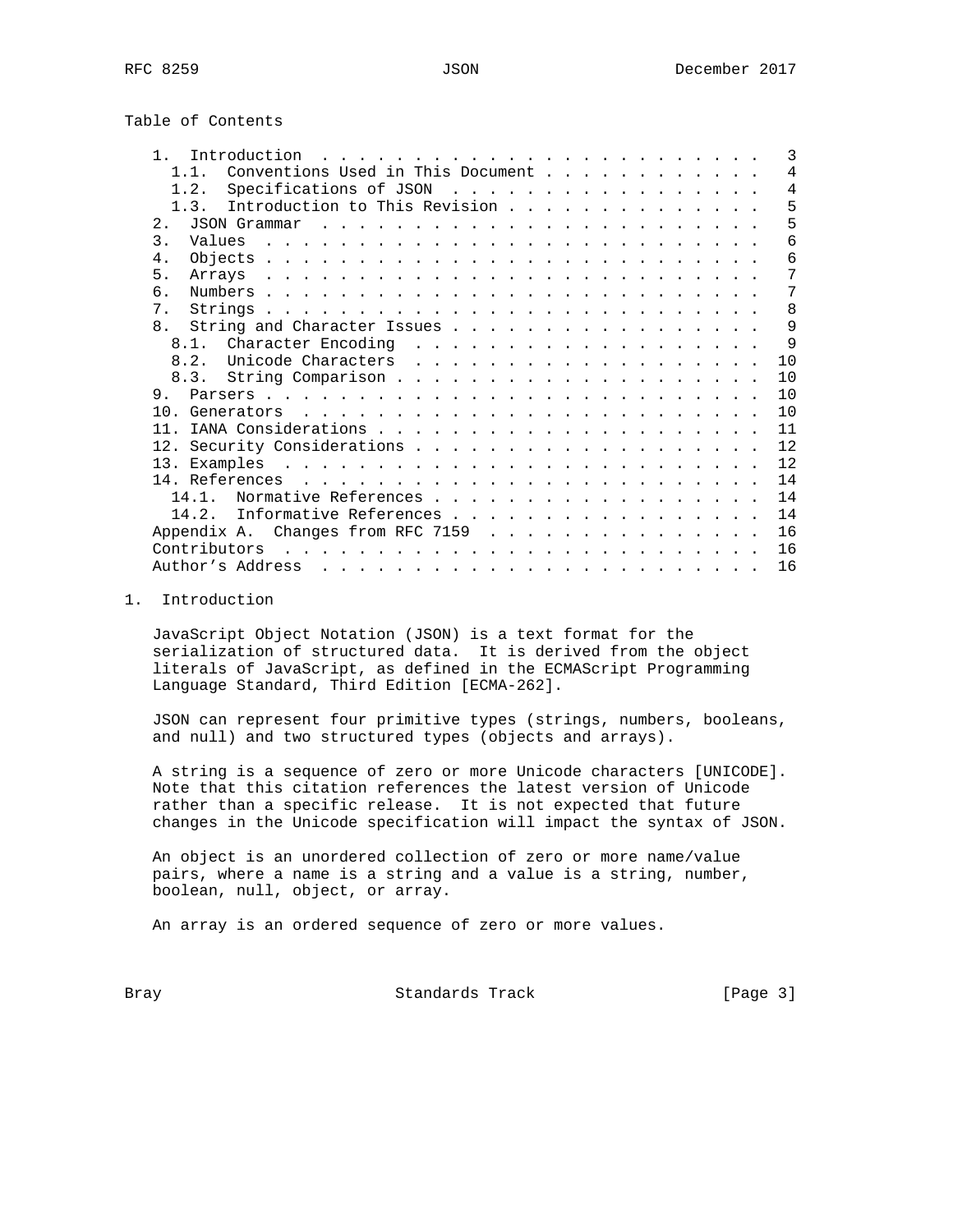Table of Contents

| $\mathbf{1}$<br>Introduction<br><u>. Karl Andrew American American American American American American American American American American American American American American American American American American American American American American American </u> | 3              |
|----------------------------------------------------------------------------------------------------------------------------------------------------------------------------------------------------------------------------------------------------------------------|----------------|
| Conventions Used in This Document<br>$1\quad1$                                                                                                                                                                                                                       | 4              |
| Specifications of JSON<br>1.2.                                                                                                                                                                                                                                       | $\overline{4}$ |
| Introduction to This Revision<br>1.3.                                                                                                                                                                                                                                | 5              |
| 2.<br>JSON Grammar                                                                                                                                                                                                                                                   | 5              |
| $\mathcal{L}$<br>Values                                                                                                                                                                                                                                              | 6              |
| $\overline{4}$                                                                                                                                                                                                                                                       | 6              |
| 5.<br>the contract of the contract of the contract of the contract of the contract of the contract of the contract of the contract of the contract of the contract of the contract of the contract of the contract of the contract o<br>Arravs                       | 7              |
| б.                                                                                                                                                                                                                                                                   | 7              |
| $7$ .                                                                                                                                                                                                                                                                | 8              |
| 8 <sub>1</sub><br>String and Character Issues                                                                                                                                                                                                                        | 9              |
| 8.1.<br>Character Encoding<br>.                                                                                                                                                                                                                                      | $\mathsf{Q}$   |
| 8.2.<br>Unicode Characters<br>.                                                                                                                                                                                                                                      | 10             |
| 8.3.                                                                                                                                                                                                                                                                 | 10             |
| 9                                                                                                                                                                                                                                                                    | 10             |
| 1 N<br>Generators                                                                                                                                                                                                                                                    | 10             |
| 11                                                                                                                                                                                                                                                                   | 11             |
|                                                                                                                                                                                                                                                                      | 12             |
| 13. Examples .<br>$\mathcal{L}^{(1)}$ . The state of the state of the state of the state of the state of the state of the state of the state of the state of the state of the state of the state of the state of the state of the state of the state o               | 12.            |
| 14. References                                                                                                                                                                                                                                                       | 14             |
| Normative References<br>14 1                                                                                                                                                                                                                                         | 14             |
| Informative References<br>14.2.                                                                                                                                                                                                                                      | 14             |
|                                                                                                                                                                                                                                                                      | 16             |
| Contributors                                                                                                                                                                                                                                                         | 16             |
| Author's Address                                                                                                                                                                                                                                                     | 16             |

### 1. Introduction

 JavaScript Object Notation (JSON) is a text format for the serialization of structured data. It is derived from the object literals of JavaScript, as defined in the ECMAScript Programming Language Standard, Third Edition [ECMA-262].

 JSON can represent four primitive types (strings, numbers, booleans, and null) and two structured types (objects and arrays).

 A string is a sequence of zero or more Unicode characters [UNICODE]. Note that this citation references the latest version of Unicode rather than a specific release. It is not expected that future changes in the Unicode specification will impact the syntax of JSON.

 An object is an unordered collection of zero or more name/value pairs, where a name is a string and a value is a string, number, boolean, null, object, or array.

An array is an ordered sequence of zero or more values.

Bray **Bray** Standards Track [Page 3]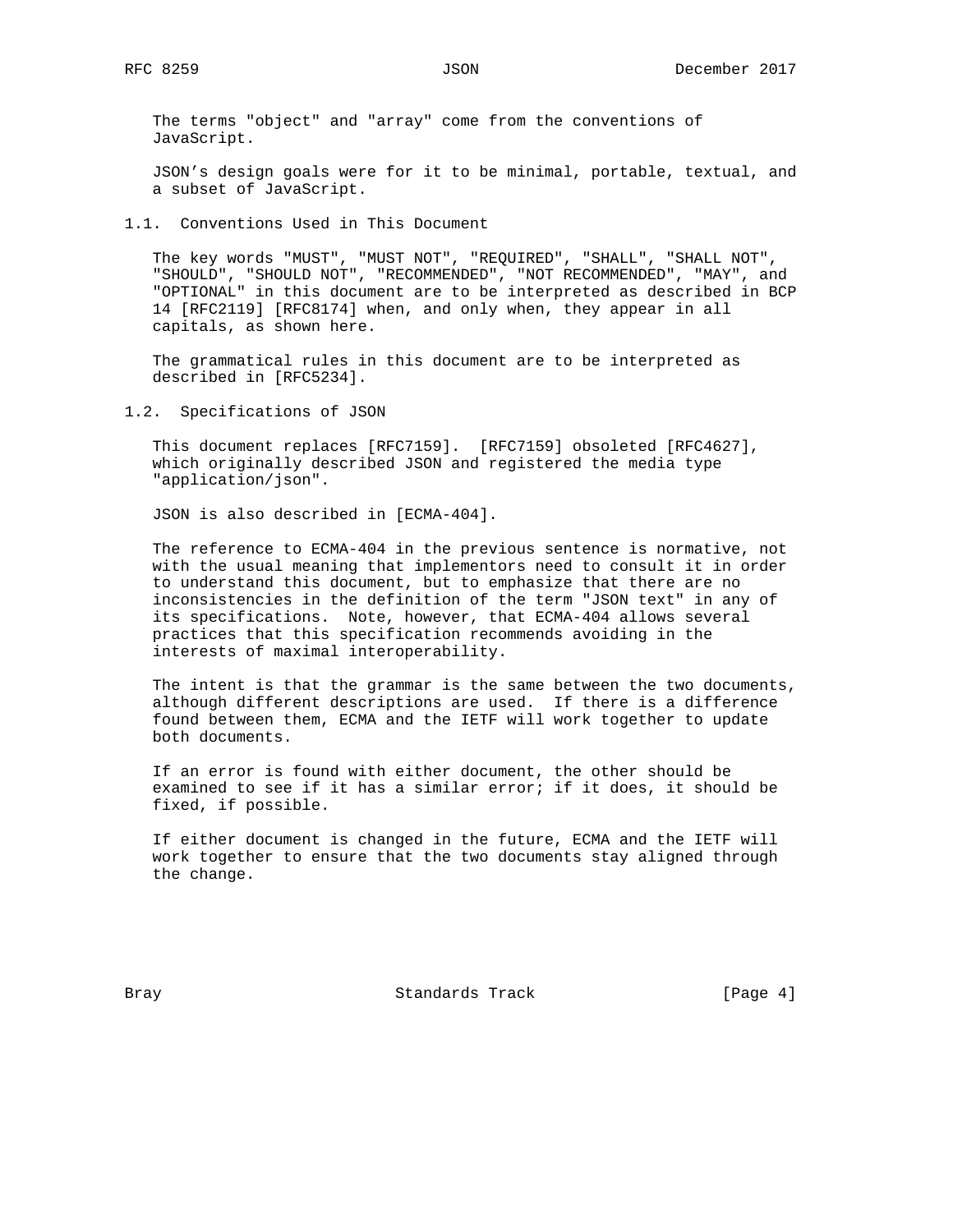The terms "object" and "array" come from the conventions of JavaScript.

 JSON's design goals were for it to be minimal, portable, textual, and a subset of JavaScript.

1.1. Conventions Used in This Document

 The key words "MUST", "MUST NOT", "REQUIRED", "SHALL", "SHALL NOT", "SHOULD", "SHOULD NOT", "RECOMMENDED", "NOT RECOMMENDED", "MAY", and "OPTIONAL" in this document are to be interpreted as described in BCP 14 [RFC2119] [RFC8174] when, and only when, they appear in all capitals, as shown here.

 The grammatical rules in this document are to be interpreted as described in [RFC5234].

1.2. Specifications of JSON

 This document replaces [RFC7159]. [RFC7159] obsoleted [RFC4627], which originally described JSON and registered the media type "application/json".

JSON is also described in [ECMA-404].

 The reference to ECMA-404 in the previous sentence is normative, not with the usual meaning that implementors need to consult it in order to understand this document, but to emphasize that there are no inconsistencies in the definition of the term "JSON text" in any of its specifications. Note, however, that ECMA-404 allows several practices that this specification recommends avoiding in the interests of maximal interoperability.

 The intent is that the grammar is the same between the two documents, although different descriptions are used. If there is a difference found between them, ECMA and the IETF will work together to update both documents.

 If an error is found with either document, the other should be examined to see if it has a similar error; if it does, it should be fixed, if possible.

 If either document is changed in the future, ECMA and the IETF will work together to ensure that the two documents stay aligned through the change.

Bray **Bray** Standards Track [Page 4]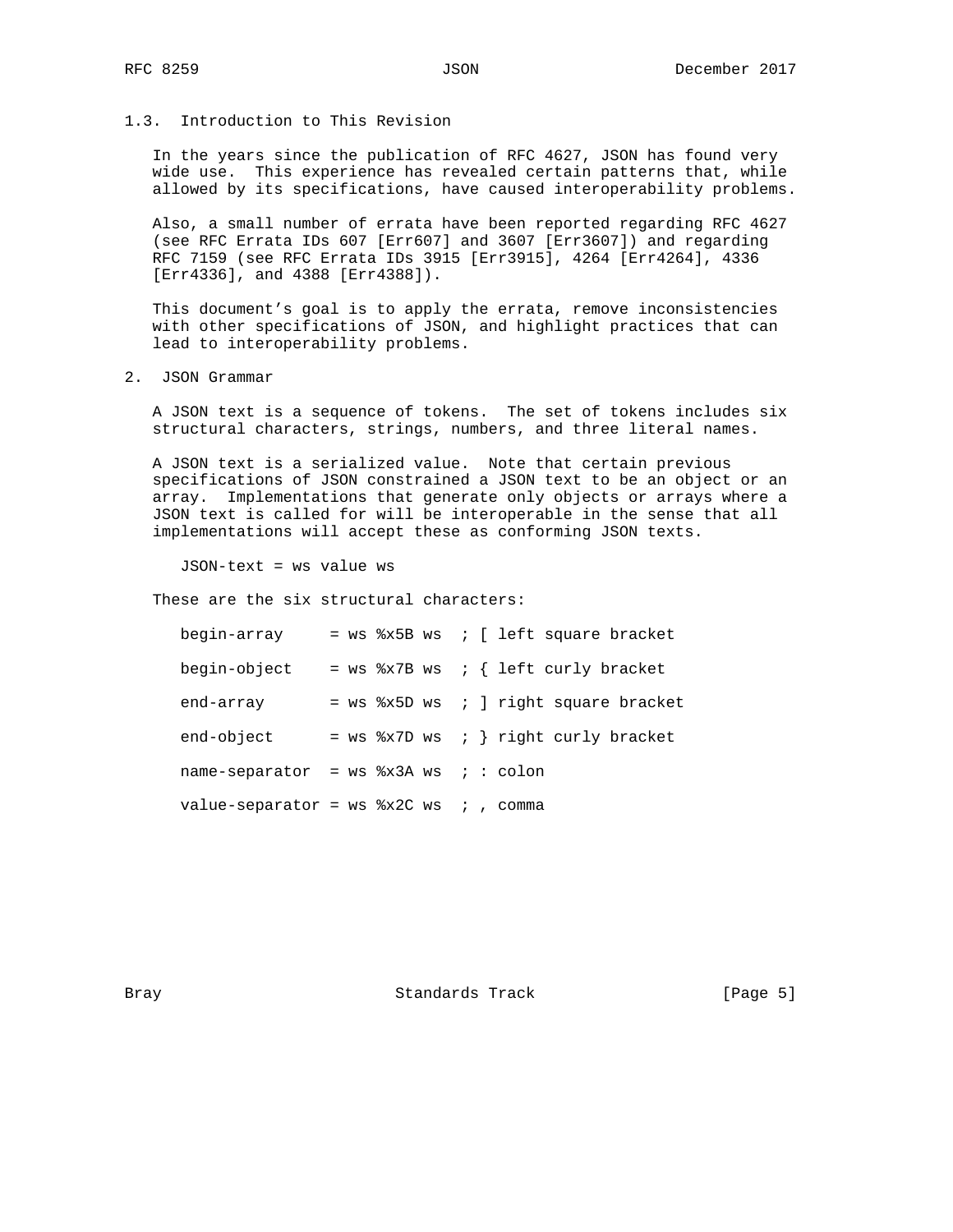# 1.3. Introduction to This Revision

 In the years since the publication of RFC 4627, JSON has found very wide use. This experience has revealed certain patterns that, while allowed by its specifications, have caused interoperability problems.

 Also, a small number of errata have been reported regarding RFC 4627 (see RFC Errata IDs 607 [Err607] and 3607 [Err3607]) and regarding RFC 7159 (see RFC Errata IDs 3915 [Err3915], 4264 [Err4264], 4336 [Err4336], and 4388 [Err4388]).

 This document's goal is to apply the errata, remove inconsistencies with other specifications of JSON, and highlight practices that can lead to interoperability problems.

2. JSON Grammar

 A JSON text is a sequence of tokens. The set of tokens includes six structural characters, strings, numbers, and three literal names.

 A JSON text is a serialized value. Note that certain previous specifications of JSON constrained a JSON text to be an object or an array. Implementations that generate only objects or arrays where a JSON text is called for will be interoperable in the sense that all implementations will accept these as conforming JSON texts.

JSON-text = ws value ws

These are the six structural characters:

| begin-array                                 |  |  |  | = $ws$ %x5B $ws$ ; [ left square bracket |
|---------------------------------------------|--|--|--|------------------------------------------|
| begin-object                                |  |  |  | = ws $x7B$ ws ; { left curly bracket     |
| end-array                                   |  |  |  | $=$ ws $x5D$ ws ; ] right square bracket |
| end-object                                  |  |  |  | = $ws$ %x7D $ws$ ; } right curly bracket |
| name-separator = $ws$ $*x3A$ $ws$ ; : colon |  |  |  |                                          |
| value-separator = $ws$ $*x2C$ ws ; , comma  |  |  |  |                                          |

Bray **Standards Track** [Page 5]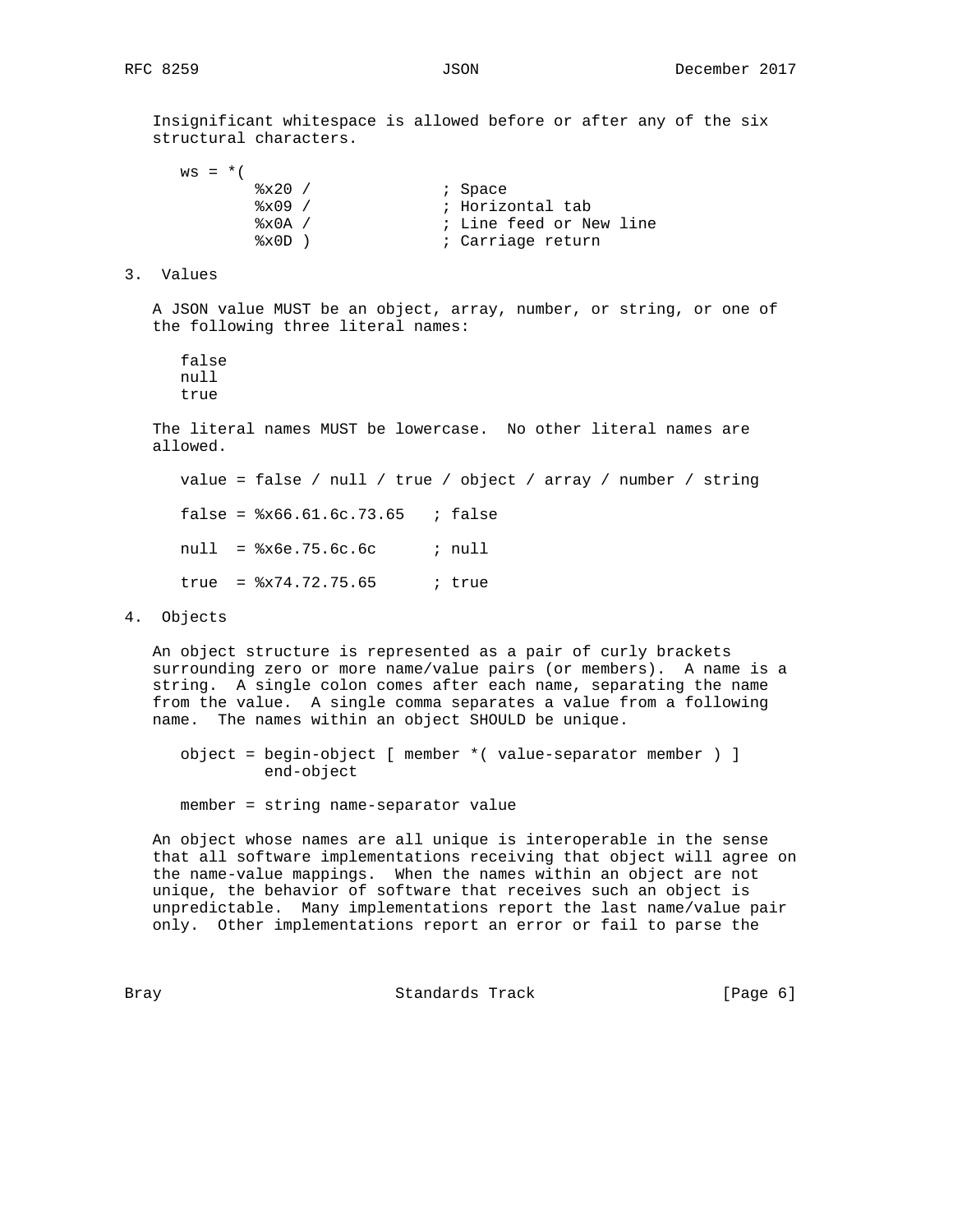Insignificant whitespace is allowed before or after any of the six structural characters.

 $ws = *$  (  $\frac{20}{2} \times 20$  /  $\frac{3}{2} \times 09$  /  $\frac{1}{2} \times 100$  /  $\frac{1}{2} \times 100$  /  $\frac{1}{2} \times 100$  /  $\frac{1}{2} \times 100$  /  $\frac{1}{2} \times 100$  /  $\frac{1}{2} \times 100$  /  $\frac{1}{2} \times 100$  /  $\frac{1}{2} \times 100$  /  $\frac{1}{2} \times 100$  /  $\frac{1}{2} \times 100$  /  $\frac{1}{$ ; Horizontal tab %x0A / ; Line feed or New line %x0D ) by carriage return

3. Values

 A JSON value MUST be an object, array, number, or string, or one of the following three literal names:

 false null true

 The literal names MUST be lowercase. No other literal names are allowed.

 value = false / null / true / object / array / number / string false =  $8x66.61.6c.73.65$  ; false  $null =$   $*x6e.75.6c.6c$  ;  $null$  $true =  $8x74.72.75.65$$  ; true

4. Objects

 An object structure is represented as a pair of curly brackets surrounding zero or more name/value pairs (or members). A name is a string. A single colon comes after each name, separating the name from the value. A single comma separates a value from a following name. The names within an object SHOULD be unique.

 object = begin-object [ member \*( value-separator member ) ] end-object

member = string name-separator value

 An object whose names are all unique is interoperable in the sense that all software implementations receiving that object will agree on the name-value mappings. When the names within an object are not unique, the behavior of software that receives such an object is unpredictable. Many implementations report the last name/value pair only. Other implementations report an error or fail to parse the

Bray **Bray** Standards Track [Page 6]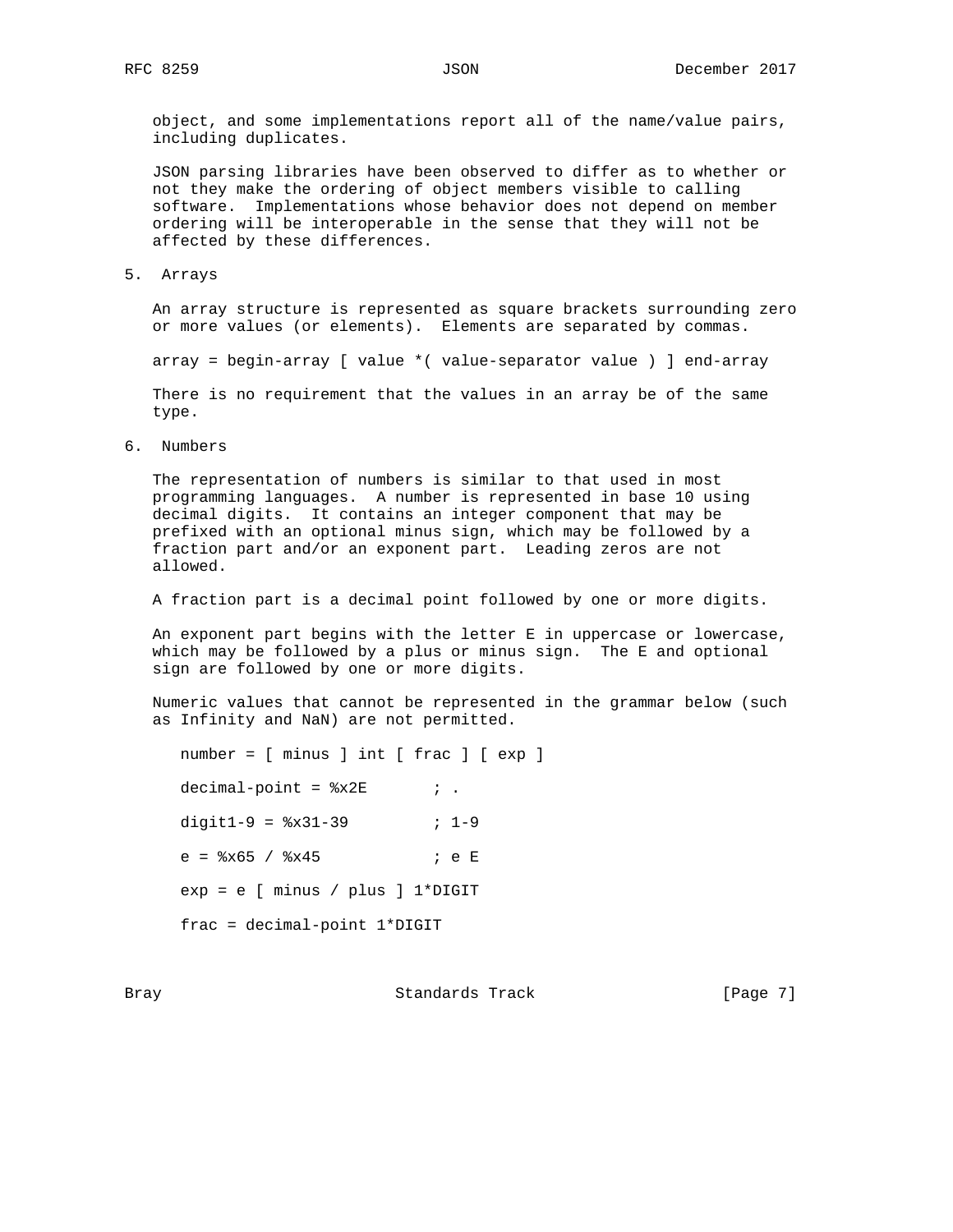object, and some implementations report all of the name/value pairs, including duplicates.

 JSON parsing libraries have been observed to differ as to whether or not they make the ordering of object members visible to calling software. Implementations whose behavior does not depend on member ordering will be interoperable in the sense that they will not be affected by these differences.

5. Arrays

 An array structure is represented as square brackets surrounding zero or more values (or elements). Elements are separated by commas.

array = begin-array [ value \*( value-separator value ) ] end-array

 There is no requirement that the values in an array be of the same type.

6. Numbers

 The representation of numbers is similar to that used in most programming languages. A number is represented in base 10 using decimal digits. It contains an integer component that may be prefixed with an optional minus sign, which may be followed by a fraction part and/or an exponent part. Leading zeros are not allowed.

A fraction part is a decimal point followed by one or more digits.

 An exponent part begins with the letter E in uppercase or lowercase, which may be followed by a plus or minus sign. The E and optional sign are followed by one or more digits.

 Numeric values that cannot be represented in the grammar below (such as Infinity and NaN) are not permitted.

 number = [ minus ] int [ frac ] [ exp ]  $decimal-point =  $*x2E$  ; .$ digit1-9 =  $8x31-39$  ; 1-9 e =  $8x65 / 8x45$  ; e E exp = e [ minus / plus ] 1\*DIGIT frac = decimal-point 1\*DIGIT

Bray **Standards Track** [Page 7]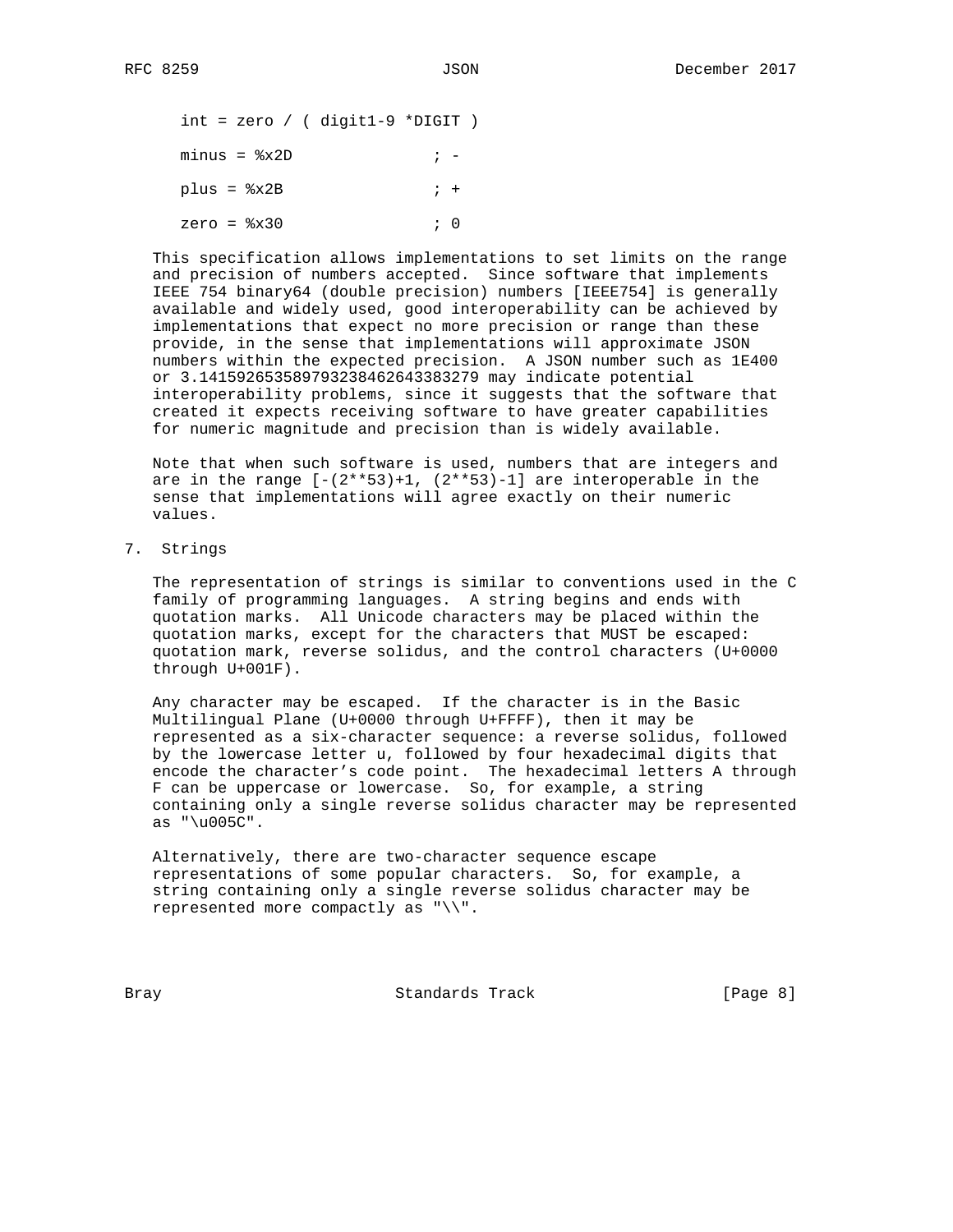int = zero / ( digit1-9 \*DIGIT )  $minus =  $8x2D$$  ; plus = %x2B ; + zero = %x30 ; 0

 This specification allows implementations to set limits on the range and precision of numbers accepted. Since software that implements IEEE 754 binary64 (double precision) numbers [IEEE754] is generally available and widely used, good interoperability can be achieved by implementations that expect no more precision or range than these provide, in the sense that implementations will approximate JSON numbers within the expected precision. A JSON number such as 1E400 or 3.141592653589793238462643383279 may indicate potential interoperability problems, since it suggests that the software that created it expects receiving software to have greater capabilities for numeric magnitude and precision than is widely available.

 Note that when such software is used, numbers that are integers and are in the range  $[-(2**53)+1, (2**53)-1]$  are interoperable in the sense that implementations will agree exactly on their numeric values.

7. Strings

 The representation of strings is similar to conventions used in the C family of programming languages. A string begins and ends with quotation marks. All Unicode characters may be placed within the quotation marks, except for the characters that MUST be escaped: quotation mark, reverse solidus, and the control characters (U+0000 through U+001F).

 Any character may be escaped. If the character is in the Basic Multilingual Plane (U+0000 through U+FFFF), then it may be represented as a six-character sequence: a reverse solidus, followed by the lowercase letter u, followed by four hexadecimal digits that encode the character's code point. The hexadecimal letters A through F can be uppercase or lowercase. So, for example, a string containing only a single reverse solidus character may be represented as "\u005C".

 Alternatively, there are two-character sequence escape representations of some popular characters. So, for example, a string containing only a single reverse solidus character may be represented more compactly as "\\".

Bray **Bray** Standards Track **Example 2** [Page 8]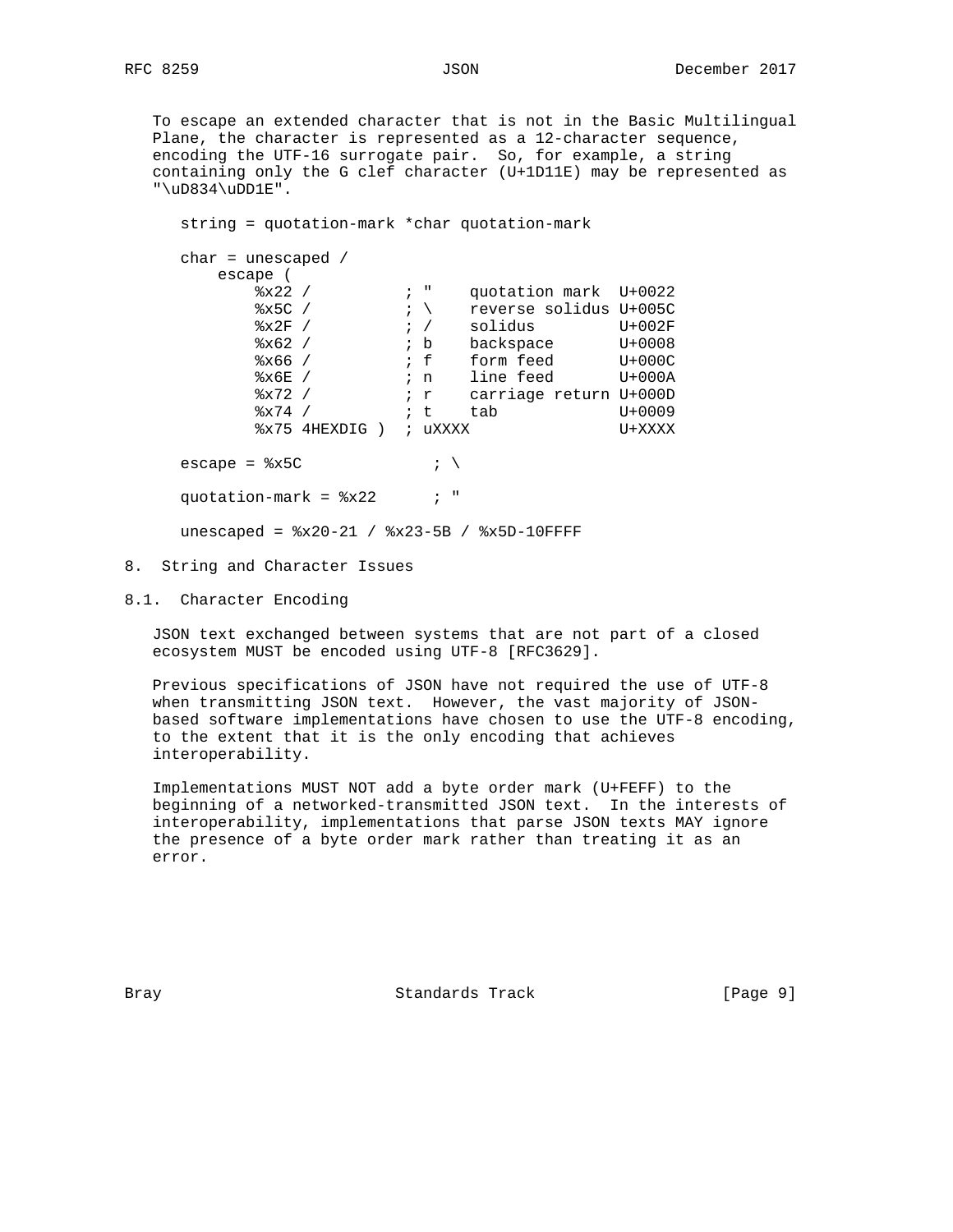To escape an extended character that is not in the Basic Multilingual Plane, the character is represented as a 12-character sequence, encoding the UTF-16 surrogate pair. So, for example, a string containing only the G clef character (U+1D11E) may be represented as  $"\uD834\uDDE".$ 

 string = quotation-mark \*char quotation-mark char = unescaped / escape ( %x22 /  $\cdot$  , " quotation mark U+0022  $-x \leq C \quad / \quad i \quad \text{reverse solids } U + 005C$  $\frac{1}{2}$   $\frac{1}{2}$   $\frac{1}{2}$   $\frac{1}{2}$   $\frac{1}{2}$   $\frac{1}{2}$   $\frac{1}{2}$   $\frac{1}{2}$   $\frac{1}{2}$   $\frac{1}{2}$   $\frac{1}{2}$   $\frac{1}{2}$   $\frac{1}{2}$   $\frac{1}{2}$   $\frac{1}{2}$   $\frac{1}{2}$   $\frac{1}{2}$   $\frac{1}{2}$   $\frac{1}{2}$   $\frac{1}{2}$   $\frac{1}{2}$   $\frac{1}{2}$  %x62 /  $\cdot$  b backspace U+0008 %x66 / ; f form feed U+000C %x6E / ; n line feed U+000A %x72 /  $\cdot$   $\cdot$  r carriage return U+000D  $-x^2 + 74$  /  $x^2 + 6009$  %x75 4HEXDIG ) ; uXXXX U+XXXX escape =  $8x5C$  ;  $\qquad$ quotation-mark =  $8x22$  ; " unescaped = %x20-21 / %x23-5B / %x5D-10FFFF 8. String and Character Issues

8.1. Character Encoding

 JSON text exchanged between systems that are not part of a closed ecosystem MUST be encoded using UTF-8 [RFC3629].

 Previous specifications of JSON have not required the use of UTF-8 when transmitting JSON text. However, the vast majority of JSON based software implementations have chosen to use the UTF-8 encoding, to the extent that it is the only encoding that achieves interoperability.

 Implementations MUST NOT add a byte order mark (U+FEFF) to the beginning of a networked-transmitted JSON text. In the interests of interoperability, implementations that parse JSON texts MAY ignore the presence of a byte order mark rather than treating it as an error.

Bray **Standards Track** [Page 9]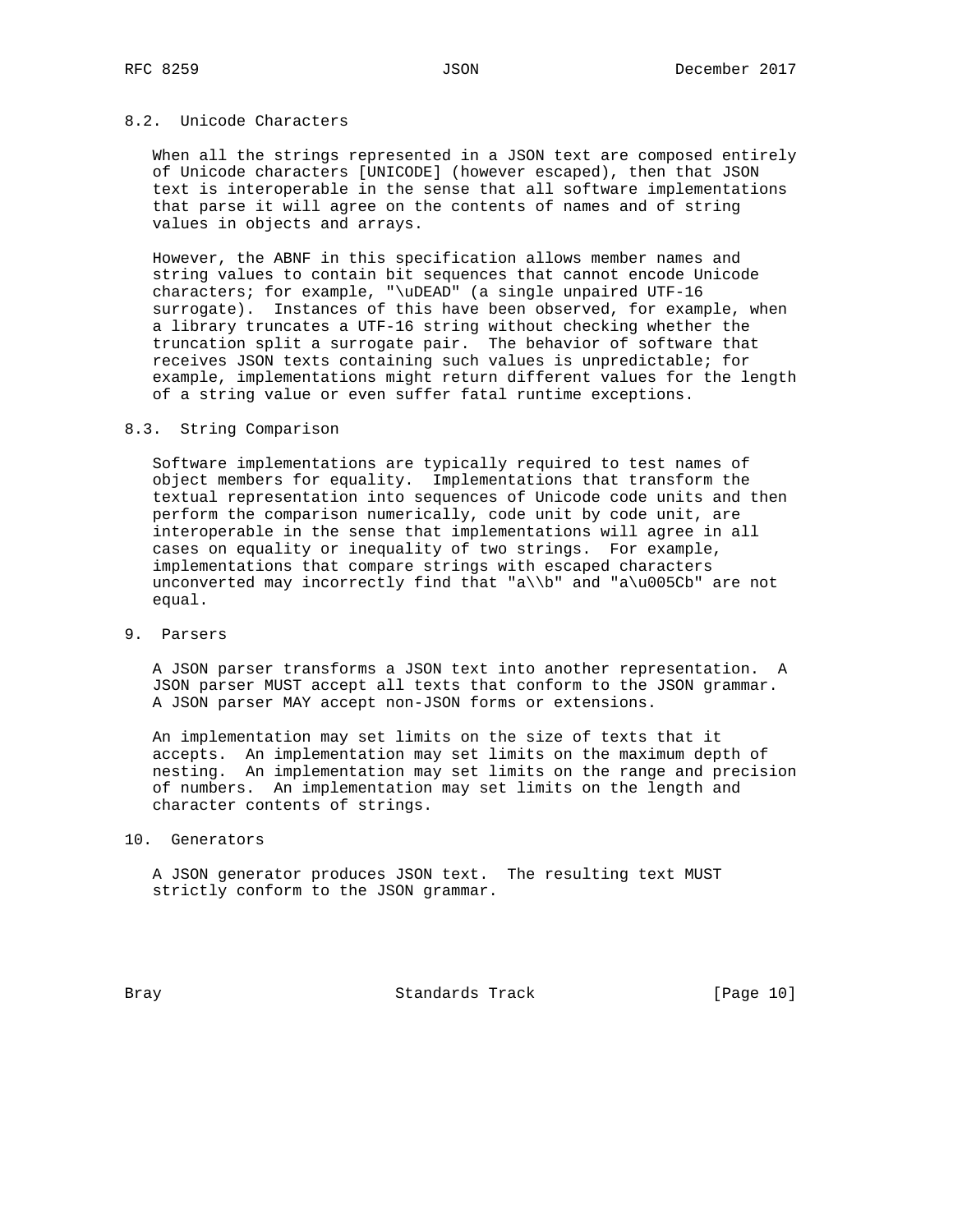# 8.2. Unicode Characters

 When all the strings represented in a JSON text are composed entirely of Unicode characters [UNICODE] (however escaped), then that JSON text is interoperable in the sense that all software implementations that parse it will agree on the contents of names and of string values in objects and arrays.

 However, the ABNF in this specification allows member names and string values to contain bit sequences that cannot encode Unicode characters; for example, "\uDEAD" (a single unpaired UTF-16 surrogate). Instances of this have been observed, for example, when a library truncates a UTF-16 string without checking whether the truncation split a surrogate pair. The behavior of software that receives JSON texts containing such values is unpredictable; for example, implementations might return different values for the length of a string value or even suffer fatal runtime exceptions.

### 8.3. String Comparison

 Software implementations are typically required to test names of object members for equality. Implementations that transform the textual representation into sequences of Unicode code units and then perform the comparison numerically, code unit by code unit, are interoperable in the sense that implementations will agree in all cases on equality or inequality of two strings. For example, implementations that compare strings with escaped characters unconverted may incorrectly find that "a\\b" and "a\u005Cb" are not equal.

#### 9. Parsers

 A JSON parser transforms a JSON text into another representation. A JSON parser MUST accept all texts that conform to the JSON grammar. A JSON parser MAY accept non-JSON forms or extensions.

 An implementation may set limits on the size of texts that it accepts. An implementation may set limits on the maximum depth of nesting. An implementation may set limits on the range and precision of numbers. An implementation may set limits on the length and character contents of strings.

### 10. Generators

 A JSON generator produces JSON text. The resulting text MUST strictly conform to the JSON grammar.

Bray **Standards Track** [Page 10]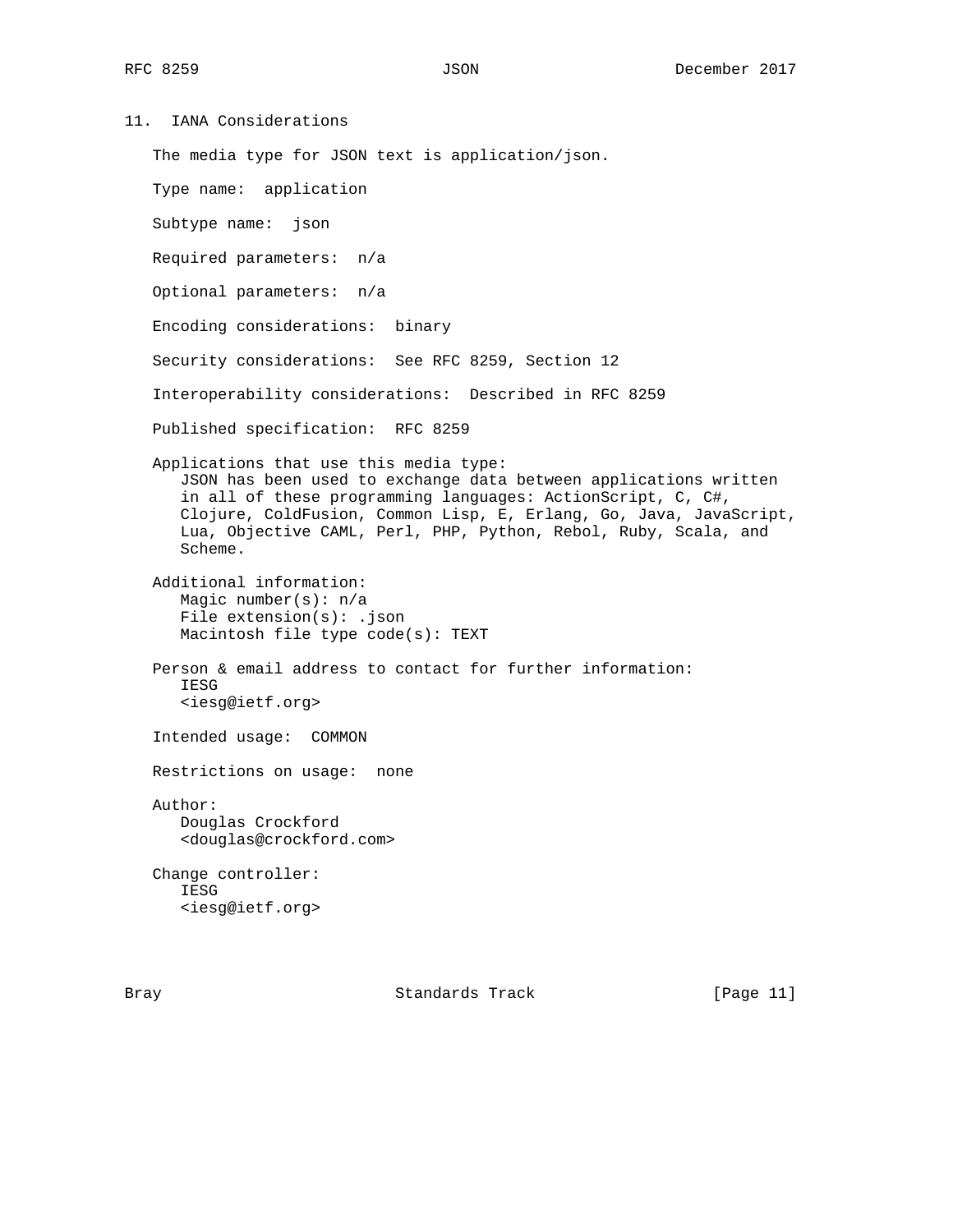11. IANA Considerations

The media type for JSON text is application/json.

Type name: application

Subtype name: json

Required parameters: n/a

Optional parameters: n/a

Encoding considerations: binary

Security considerations: See RFC 8259, Section 12

Interoperability considerations: Described in RFC 8259

Published specification: RFC 8259

 Applications that use this media type: JSON has been used to exchange data between applications written in all of these programming languages: ActionScript, C, C#, Clojure, ColdFusion, Common Lisp, E, Erlang, Go, Java, JavaScript, Lua, Objective CAML, Perl, PHP, Python, Rebol, Ruby, Scala, and Scheme.

 Additional information: Magic number(s): n/a File extension(s): .json Macintosh file type code(s): TEXT

 Person & email address to contact for further information: IESG <iesg@ietf.org>

Intended usage: COMMON

Restrictions on usage: none

 Author: Douglas Crockford <douglas@crockford.com>

 Change controller: IESG <iesg@ietf.org>

Bray **Standards Track** [Page 11]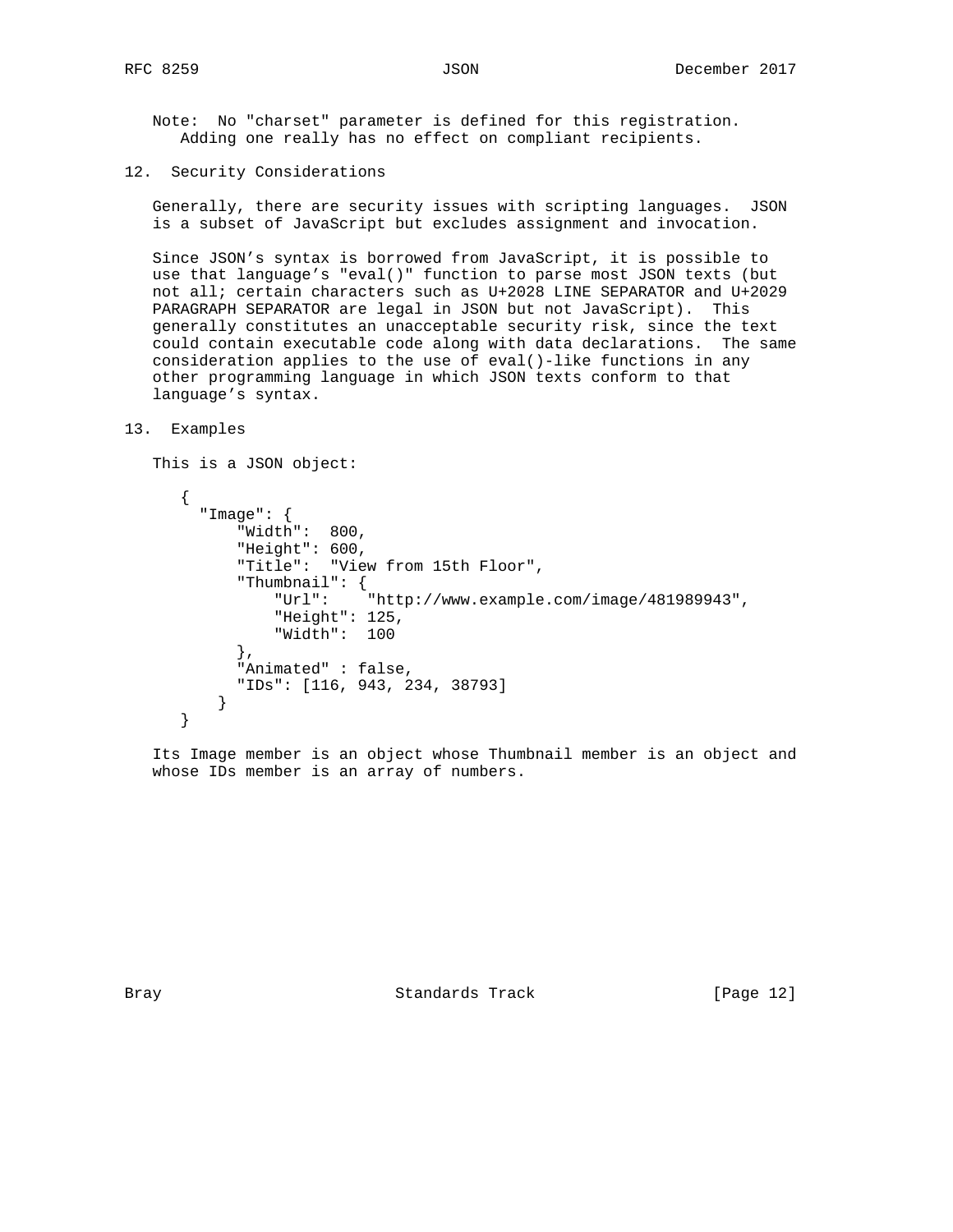Note: No "charset" parameter is defined for this registration. Adding one really has no effect on compliant recipients.

12. Security Considerations

 Generally, there are security issues with scripting languages. JSON is a subset of JavaScript but excludes assignment and invocation.

 Since JSON's syntax is borrowed from JavaScript, it is possible to use that language's "eval()" function to parse most JSON texts (but not all; certain characters such as U+2028 LINE SEPARATOR and U+2029 PARAGRAPH SEPARATOR are legal in JSON but not JavaScript). This generally constitutes an unacceptable security risk, since the text could contain executable code along with data declarations. The same consideration applies to the use of eval()-like functions in any other programming language in which JSON texts conform to that language's syntax.

```
13. Examples
```
This is a JSON object:

```
 {
   "Image": {
       "Width": 800,
       "Height": 600,
       "Title": "View from 15th Floor",
       "Thumbnail": {
           "Url": "http://www.example.com/image/481989943",
           "Height": 125,
           "Width": 100
       },
       "Animated" : false,
       "IDs": [116, 943, 234, 38793]
     }
 }
```
 Its Image member is an object whose Thumbnail member is an object and whose IDs member is an array of numbers.

Bray **Standards Track** [Page 12]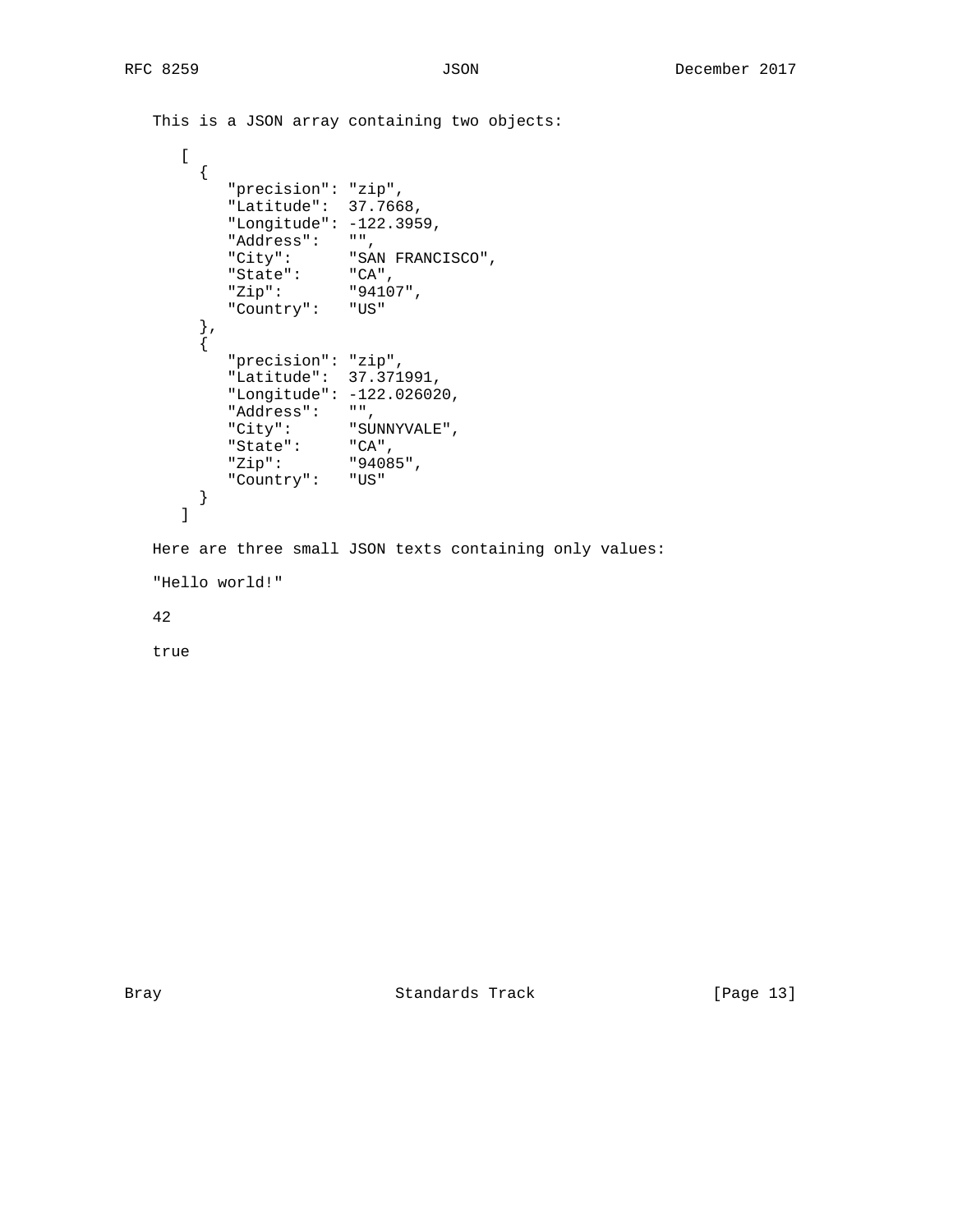```
 This is a JSON array containing two objects:
     \lceil {
 "precision": "zip",
 "Latitude": 37.7668,
          "Longitude": -122.3959,
 "Address": "",
 "City": "SAN FRANCISCO",
 "State": "CA",
 "Zip": "94107",
          "Country": "US"
 },
\left\{ \begin{array}{c} \end{array} \right. "precision": "zip",
          "Latitude": 37.371991,
          "Longitude": -122.026020,
 "Address": "",
 "City": "SUNNYVALE",
 "State": "CA",
 "Zip": "94085",
          "Country": "US"
       }
      ]
   Here are three small JSON texts containing only values:
   "Hello world!"
   42
   true
```
Bray Standards Track [Page 13]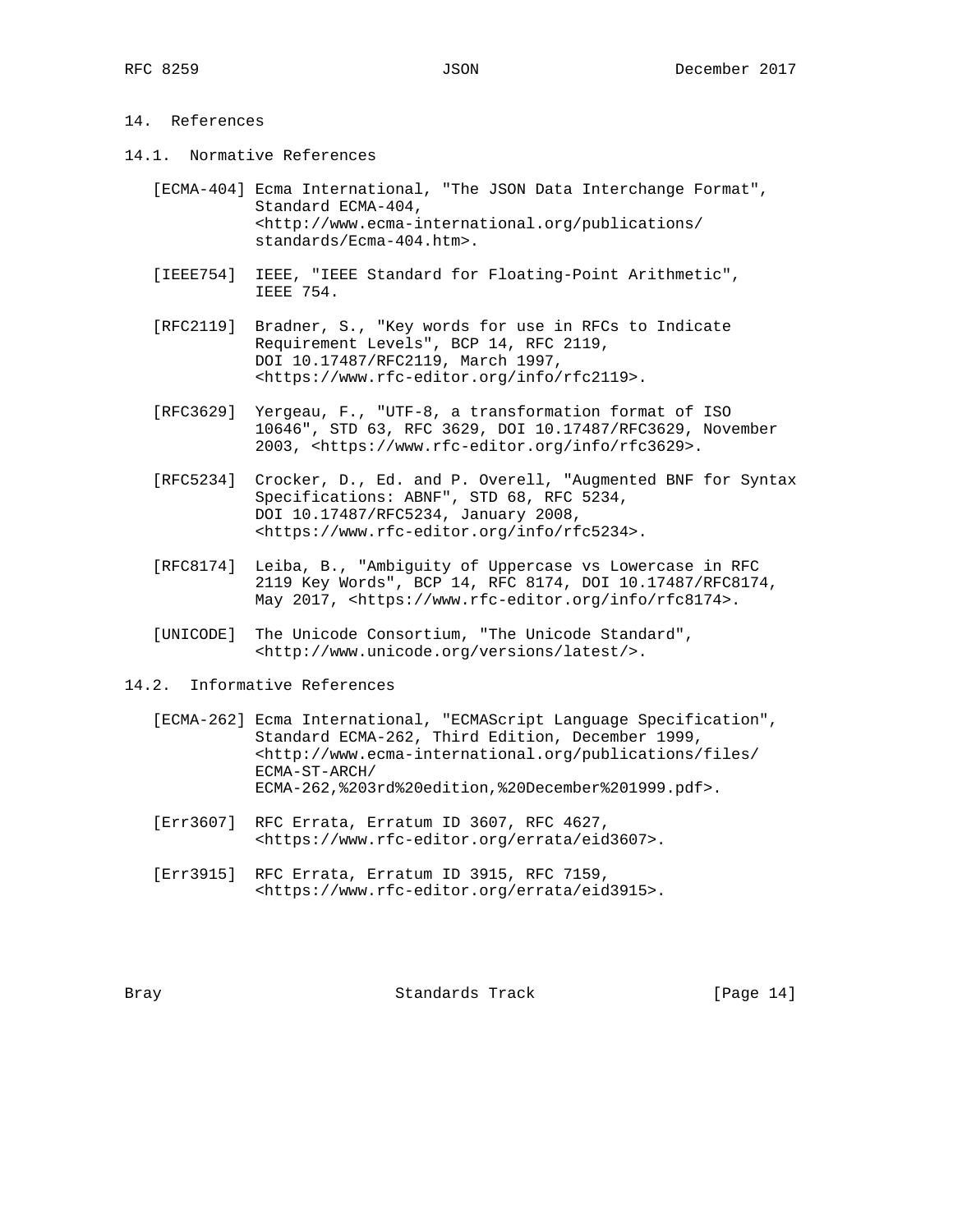# 14. References

- 14.1. Normative References
	- [ECMA-404] Ecma International, "The JSON Data Interchange Format", Standard ECMA-404, <http://www.ecma-international.org/publications/ standards/Ecma-404.htm>.
	- [IEEE754] IEEE, "IEEE Standard for Floating-Point Arithmetic", IEEE 754.
	- [RFC2119] Bradner, S., "Key words for use in RFCs to Indicate Requirement Levels", BCP 14, RFC 2119, DOI 10.17487/RFC2119, March 1997, <https://www.rfc-editor.org/info/rfc2119>.
	- [RFC3629] Yergeau, F., "UTF-8, a transformation format of ISO 10646", STD 63, RFC 3629, DOI 10.17487/RFC3629, November 2003, <https://www.rfc-editor.org/info/rfc3629>.
	- [RFC5234] Crocker, D., Ed. and P. Overell, "Augmented BNF for Syntax Specifications: ABNF", STD 68, RFC 5234, DOI 10.17487/RFC5234, January 2008, <https://www.rfc-editor.org/info/rfc5234>.
	- [RFC8174] Leiba, B., "Ambiguity of Uppercase vs Lowercase in RFC 2119 Key Words", BCP 14, RFC 8174, DOI 10.17487/RFC8174, May 2017, <https://www.rfc-editor.org/info/rfc8174>.
	- [UNICODE] The Unicode Consortium, "The Unicode Standard", <http://www.unicode.org/versions/latest/>.
- 14.2. Informative References
	- [ECMA-262] Ecma International, "ECMAScript Language Specification", Standard ECMA-262, Third Edition, December 1999, <http://www.ecma-international.org/publications/files/ ECMA-ST-ARCH/ ECMA-262,%203rd%20edition,%20December%201999.pdf>.
	- [Err3607] RFC Errata, Erratum ID 3607, RFC 4627, <https://www.rfc-editor.org/errata/eid3607>.
	- [Err3915] RFC Errata, Erratum ID 3915, RFC 7159, <https://www.rfc-editor.org/errata/eid3915>.

Bray **Standards Track** [Page 14]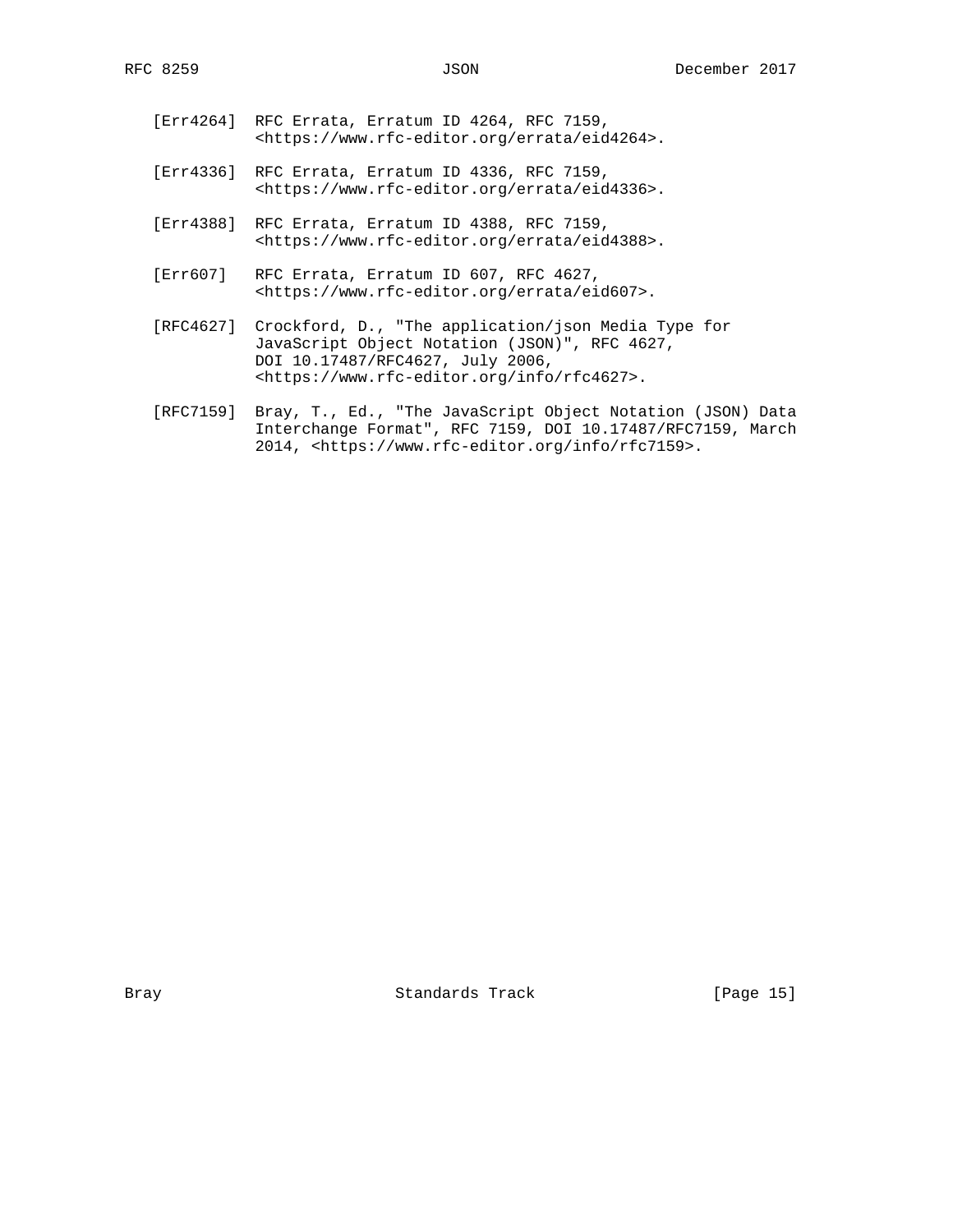- [Err4264] RFC Errata, Erratum ID 4264, RFC 7159, <https://www.rfc-editor.org/errata/eid4264>.
- [Err4336] RFC Errata, Erratum ID 4336, RFC 7159, <https://www.rfc-editor.org/errata/eid4336>.
- [Err4388] RFC Errata, Erratum ID 4388, RFC 7159, <https://www.rfc-editor.org/errata/eid4388>.
- [Err607] RFC Errata, Erratum ID 607, RFC 4627, <https://www.rfc-editor.org/errata/eid607>.
- [RFC4627] Crockford, D., "The application/json Media Type for JavaScript Object Notation (JSON)", RFC 4627, DOI 10.17487/RFC4627, July 2006, <https://www.rfc-editor.org/info/rfc4627>.
- [RFC7159] Bray, T., Ed., "The JavaScript Object Notation (JSON) Data Interchange Format", RFC 7159, DOI 10.17487/RFC7159, March 2014, <https://www.rfc-editor.org/info/rfc7159>.

Bray Standards Track [Page 15]